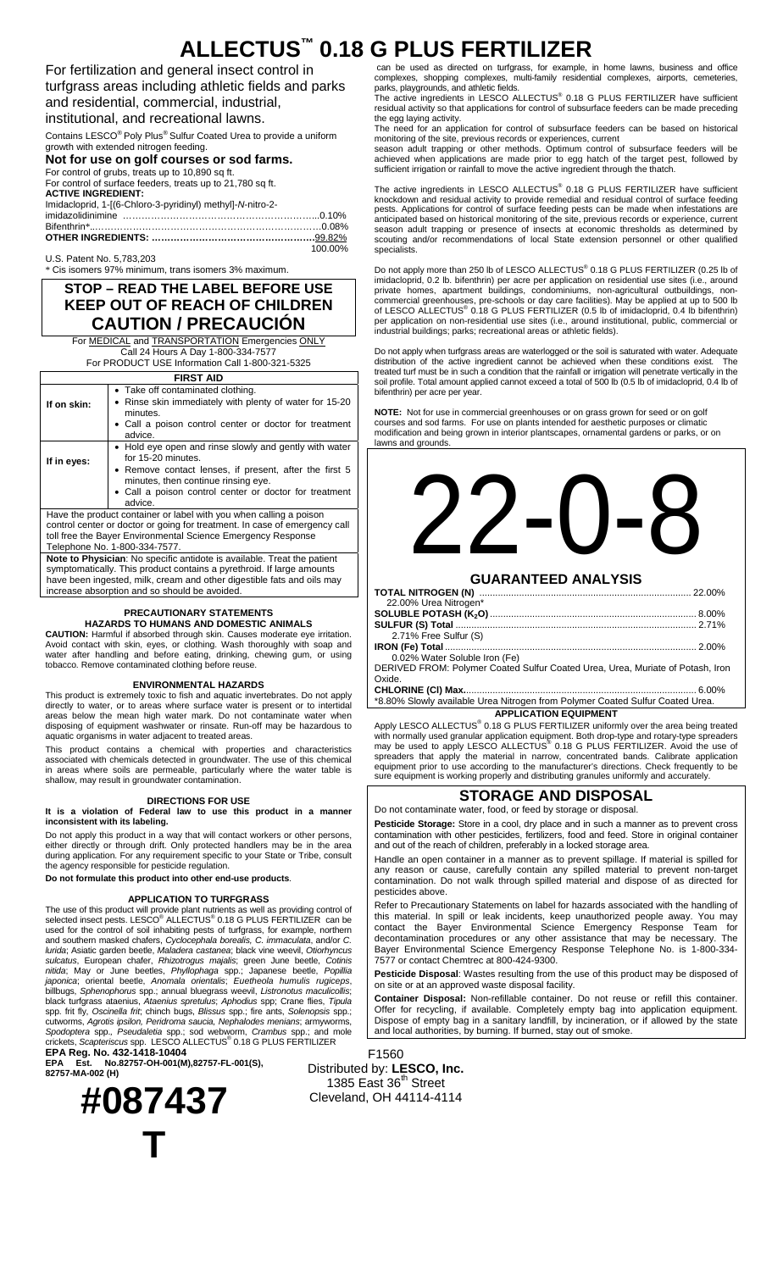## **ALLECTUS™ 0.18 G PLUS FERTILIZER**

For fertilization and general insect control in turfgrass areas including athletic fields and parks and residential, commercial, industrial, institutional, and recreational lawns.

Contains LESCO® Poly Plus® Sulfur Coated Urea to provide a uniform

growth with extended nitrogen feeding.

**Not for use on golf courses or sod farms.** 

| For control of grubs, treats up to 10,890 sq ft.           |         |
|------------------------------------------------------------|---------|
| For control of surface feeders, treats up to 21,780 sq ft. |         |
| <b>ACTIVE INGREDIENT:</b>                                  |         |
| Imidacloprid, 1-[(6-Chloro-3-pyridinyl) methyl]-N-nitro-2- |         |
|                                                            |         |
|                                                            |         |
|                                                            |         |
|                                                            | 100.00% |

U.S. Patent No. 5,783,203 Cis isomers 97% minimum, trans isomers 3% maximum

### **STOP – READ THE LABEL BEFORE USE KEEP OUT OF REACH OF CHILDREN CAUTION / PRECAUCIÓN**

For **MEDICAL** and **TRANSPORTATION** Emergencies ONLY Call 24 Hours A Day 1-800-334-7577

For PRODUCT USE Information Call 1-800-321-5325 **FIRST AID** 

| FIRST AID |                 |
|-----------|-----------------|
|           | antominotod olo |

| If on skin: | • Take off contaminated clothing.<br>• Rinse skin immediately with plenty of water for 15-20<br>minutes.<br>• Call a poison control center or doctor for treatment<br>advice.                                                                      |
|-------------|----------------------------------------------------------------------------------------------------------------------------------------------------------------------------------------------------------------------------------------------------|
| If in eyes: | • Hold eye open and rinse slowly and gently with water<br>for 15-20 minutes.<br>• Remove contact lenses, if present, after the first 5<br>minutes, then continue rinsing eye.<br>• Call a poison control center or doctor for treatment<br>advice. |

Have the product container or label with you when calling a poison control center or doctor or going for treatment. In case of emergency call toll free the Bayer Environmental Science Emergency Response Telephone No. 1-800-334-7577.

**Note to Physician**: No specific antidote is available. Treat the patient symptomatically. This product contains a pyrethroid. If large amounts have been ingested, milk, cream and other digestible fats and oils may increase absorption and so should be avoided.

### **PRECAUTIONARY STATEMENTS HAZARDS TO HUMANS AND DOMESTIC ANIMALS**

**CAUTION:** Harmful if absorbed through skin. Causes moderate eye irritation. Avoid contact with skin, eyes, or clothing. Wash thoroughly with soap and water after handling and before eating, drinking, chewing gum, or using tobacco. Remove contaminated clothing before reuse.

### **ENVIRONMENTAL HAZARDS**

This product is extremely toxic to fish and aquatic invertebrates. Do not apply directly to water, or to areas where surface water is present or to intertidal areas below the mean high water mark. Do not contaminate water when disposing of equipment washwater or rinsate. Run-off may be hazardous to aquatic organisms in water adjacent to treated areas.

This product contains a chemical with properties and characteristics associated with chemicals detected in groundwater. The use of this chemical in areas where soils are permeable, particularly where the water table is shallow, may result in groundwater contamination.

### **DIRECTIONS FOR USE**

**It is a violation of Federal law to use this product in a manner inconsistent with its labeling.** 

Do not apply this product in a way that will contact workers or other persons, either directly or through drift. Only protected handlers may be in the area during application. For any requirement specific to your State or Tribe, consult the agency responsible for pesticide regulation. **Do not formulate this product into other end-use products**.

### **APPLICATION TO TURFGRASS**

The use of this product will provide plant nutrients as well as providing control of<br>selected insect pests. LESCO® ALLECTUS® 0.18 G PLUS FERTILIZER can be used for the control of soil inhabiting pests of turfgrass, for example, northern and southern masked chafers, *Cyclocephala borealis, C. immaculata*, and/or *C. lurida*; Asiatic garden beetle, *Maladera castanea*; black vine weevil, *Otiorhyncus sulcatus*, European chafer, *Rhizotrogus majalis*; green June beetle, *Cotinis nitida*; May or June beetles, *Phyllophaga* spp.; Japanese beetle, *Popillia japonica*; oriental beetle, *Anomala orientalis*; *Euetheola humulis rugiceps*, billbugs, *Sphenophorus* spp.; annual bluegrass weevil, *Listronotus maculicollis*; black turfgrass ataenius, *Ataenius spretulus*; *Aphodius* spp; Crane flies, *Tipula*  spp. frit fly, *Oscinella frit*; chinch bugs, *Blissus* spp.; fire ants, *Solenopsis* spp.; cutworms, *Agrotis ipsilon, Peridroma saucia, Nephalodes menians*; armyworms, *Spodoptera* spp.*, Pseudaletia* spp.; sod webworm, *Crambus* spp.; and mole crickets, *Scapteriscus* spp. LESCO ALLECTUS® 0.18 G PLUS FERTILIZER

**EPA Reg. No. 432-1418-10404 EPA Est. No.82757-OH-001(M),82757-FL-001(S),** 

**82757-MA-002 (H) #087437** 

**T**

## can be used as directed on turfgrass, for example, in home lawns, business and office

complexes, shopping complexes, multi-family residential complexes, airports, cemeteries, parks, playgrounds, and athletic fields.<br>The active ingredients in LESCO ALLECTUS® 0.18 G PLUS FERTILIZER have sufficient

residual activity so that applications for control of subsurface feeders can be made preceding the egg laying activity. The need for an application for control of subsurface feeders can be based on historical

monitoring of the site, previous records or experiences, current season adult trapping or other methods. Optimum control of subsurface feeders will be

achieved when applications are made prior to egg hatch of the target pest, followed by sufficient irrigation or rainfall to move the active ingredient through the thatch.

The active ingredients in LESCO ALLECTUS® 0.18 G PLUS FERTILIZER have sufficient knockdown and residual activity to provide remedial and residual control of surface feeding pests. Applications for control of surface feeding pests can be made when infestations are anticipated based on historical monitoring of the site, previous records or experience, current season adult trapping or presence of insects at economic thresholds as determined by scouting and/or recommendations of local State extension personnel or other qualified specialists.

Do not apply more than 250 lb of LESCO ALLECTUS® 0.18 G PLUS FERTILIZER (0.25 lb of imidacloprid, 0.2 lb. bifenthrin) per acre per application on residential use sites (i.e., around private homes, apartment buildings, condominiums, non-agricultural outbuildings, noncommercial greenhouses, pre-schools or day care facilities). May be applied at up to 500 lb<br>of LESCO ALLECTUS® 0.18 G PLUS FERTILIZER (0.5 lb of imidacloprid, 0.4 lb bifenthrin) per application on non-residential use sites (i.e., around institutional, public, commercial or industrial buildings; parks; recreational areas or athletic fields).

Do not apply when turfgrass areas are waterlogged or the soil is saturated with water. Adequate distribution of the active ingredient cannot be achieved when these conditions exist. The treated turf must be in such a condition that the rainfall or irrigation will penetrate vertically in the soil profile. Total amount applied cannot exceed a total of 500 lb (0.5 lb of imidacloprid, 0.4 lb of bifenthrin) per acre per year.

**NOTE:** Not for use in commercial greenhouses or on grass grown for seed or on golf courses and sod farms. For use on plants intended for aesthetic purposes or climatic modification and being grown in interior plantscapes, ornamental gardens or parks, or on lawns and grounds.

| <b>GUARANTEED ANALYSIS</b>                                                     |          |
|--------------------------------------------------------------------------------|----------|
|                                                                                | 22.00%   |
| 22.00% Urea Nitrogen*                                                          |          |
|                                                                                |          |
|                                                                                |          |
| 2.71% Free Sulfur (S)                                                          |          |
|                                                                                |          |
| 0.02% Water Soluble Iron (Fe)                                                  |          |
| DERIVED FROM: Polymer Coated Sulfur Coated Urea, Urea, Muriate of Potash, Iron |          |
| Oxide.                                                                         |          |
|                                                                                | $6.00\%$ |
| *8.80% Slowly available Urea Nitrogen from Polymer Coated Sulfur Coated Urea   |          |

\*8.80% Slowly available Urea Nitrogen from Polymer Coated Sulfur Coated Urea. **APPLICATION EQUIPMENT**

Apply LESCO ALLECTUS<sup>®</sup> 0.18 G PLUS FERTILIZER uniformly over the area being treated with normally used granular application equipment. Both drop-type and rotary-type spreaders<br>may be used to apply LESCO ALLECTUS® 0.18 G PLUS FERTILIZER. Avoid the use of spreaders that apply the material in narrow, concentrated bands. Calibrate application equipment prior to use according to the manufacturer's directions. Check frequently to be sure equipment is working properly and distributing granules uniformly and accurately.

### **STORAGE AND DISPOSAL**

Do not contaminate water, food, or feed by storage or disposal. **Pesticide Storage:** Store in a cool, dry place and in such a manner as to prevent cross contamination with other pesticides, fertilizers, food and feed. Store in original container and out of the reach of children, preferably in a locked storage area.

Handle an open container in a manner as to prevent spillage. If material is spilled for any reason or cause, carefully contain any spilled material to prevent non-target contamination. Do not walk through spilled material and dispose of as directed for pesticides above.

Refer to Precautionary Statements on label for hazards associated with the handling of this material. In spill or leak incidents, keep unauthorized people away. You may contact the Bayer Environmental Science Emergency Response Team for decontamination procedures or any other assistance that may be necessary. The Bayer Environmental Science Emergency Response Telephone No. is 1-800-334- 7577 or contact Chemtrec at 800-424-9300.

**Pesticide Disposal**: Wastes resulting from the use of this product may be disposed of on site or at an approved waste disposal facility.

**Container Disposal:** Non-refillable container. Do not reuse or refill this container. Offer for recycling, if available. Completely empty bag into application equipment. Dispose of empty bag in a sanitary landfill, by incineration, or if allowed by the state and local authorities, by burning. If burned, stay out of smoke.

F1560 Distributed by: **LESCO, Inc.**  $1385$  East  $36<sup>th</sup>$  Street Cleveland, OH 44114-4114